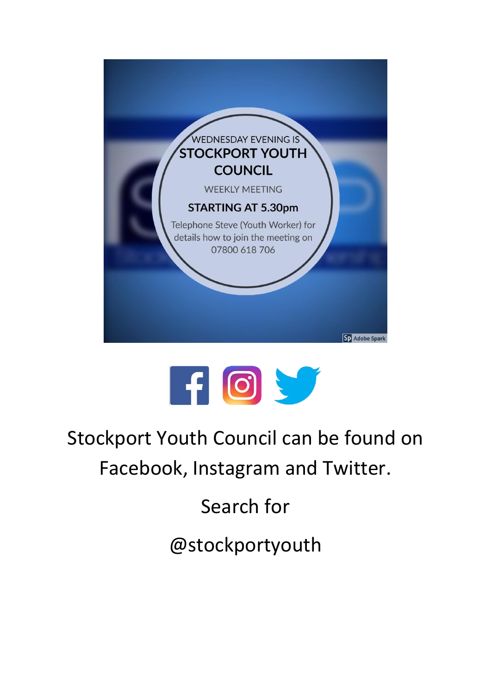



Stockport Youth Council can be found on Facebook, Instagram and Twitter.

Search for

@stockportyouth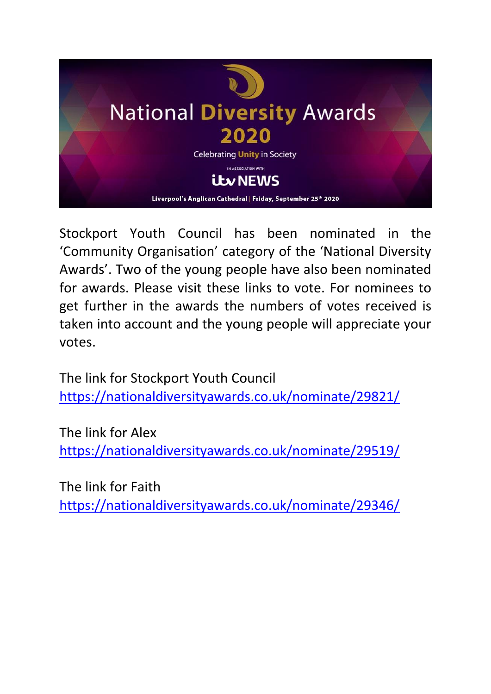

Stockport Youth Council has been nominated in the 'Community Organisation' category of the 'National Diversity Awards'. Two of the young people have also been nominated for awards. Please visit these links to vote. For nominees to get further in the awards the numbers of votes received is taken into account and the young people will appreciate your votes.

The link for Stockport Youth Council <https://nationaldiversityawards.co.uk/nominate/29821/>

The link for Alex <https://nationaldiversityawards.co.uk/nominate/29519/>

The link for Faith <https://nationaldiversityawards.co.uk/nominate/29346/>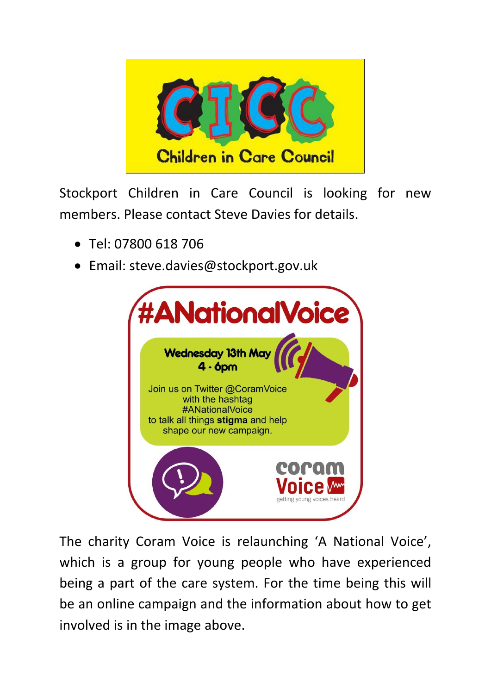

Stockport Children in Care Council is looking for new members. Please contact Steve Davies for details.

- Tel: 07800 618 706
- Email: steve.davies@stockport.gov.uk



The charity Coram Voice is relaunching 'A National Voice', which is a group for young people who have experienced being a part of the care system. For the time being this will be an online campaign and the information about how to get involved is in the image above.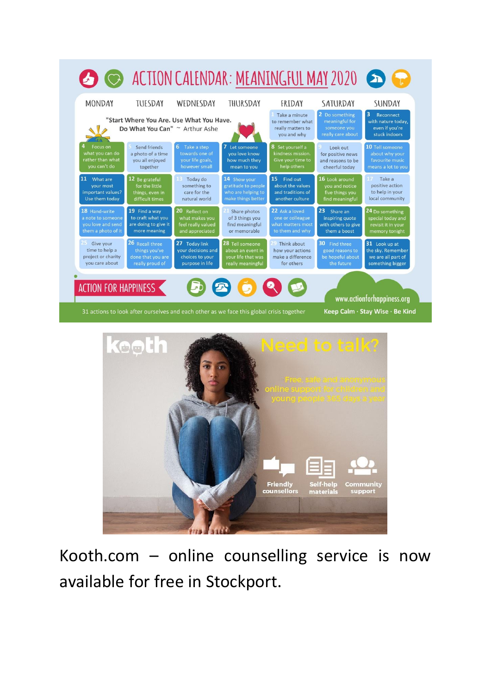



Kooth.com – online counselling service is now available for free in Stockport.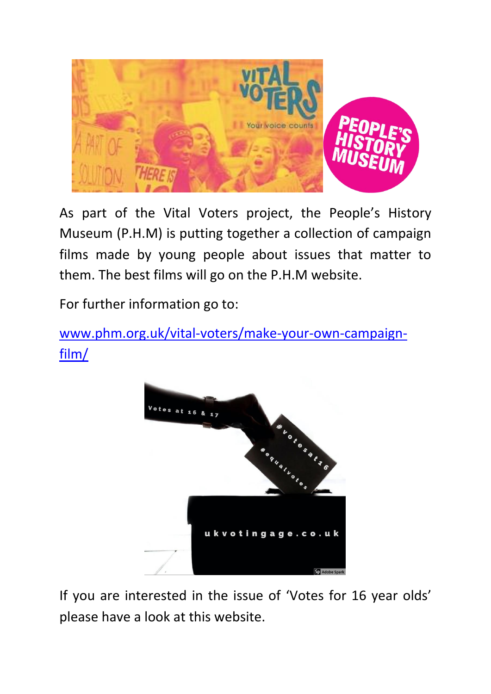

As part of the Vital Voters project, the People's History Museum (P.H.M) is putting together a collection of campaign films made by young people about issues that matter to them. The best films will go on the P.H.M website.

For further information go to:

[www.phm.org.uk/vital-voters/make-your-own-campaign](http://www.phm.org.uk/vital-voters/make-your-own-campaign-film/)[film/](http://www.phm.org.uk/vital-voters/make-your-own-campaign-film/)



If you are interested in the issue of 'Votes for 16 year olds' please have a look at this website.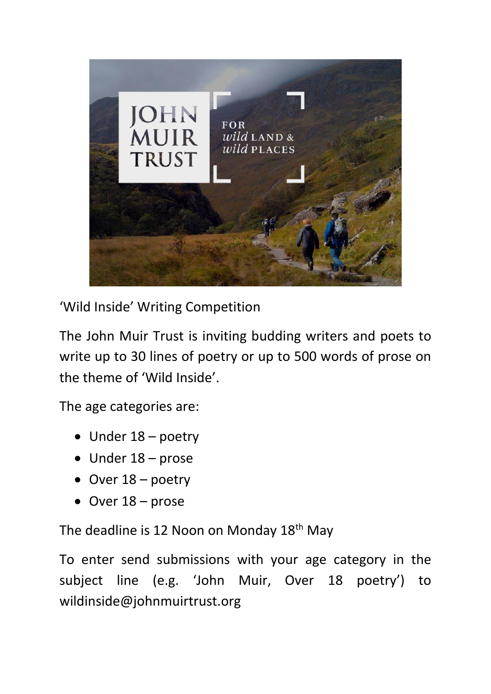

'Wild Inside' Writing Competition

The John Muir Trust is inviting budding writers and poets to write up to 30 lines of poetry or up to 500 words of prose on the theme of 'Wild Inside'.

The age categories are:

- Under 18 poetry
- Under 18 prose
- Over 18 poetry
- Over 18 prose

The deadline is 12 Noon on Monday 18<sup>th</sup> May

To enter send submissions with your age category in the subject line (e.g. 'John Muir, Over 18 poetry') to wildinside@johnmuirtrust.org